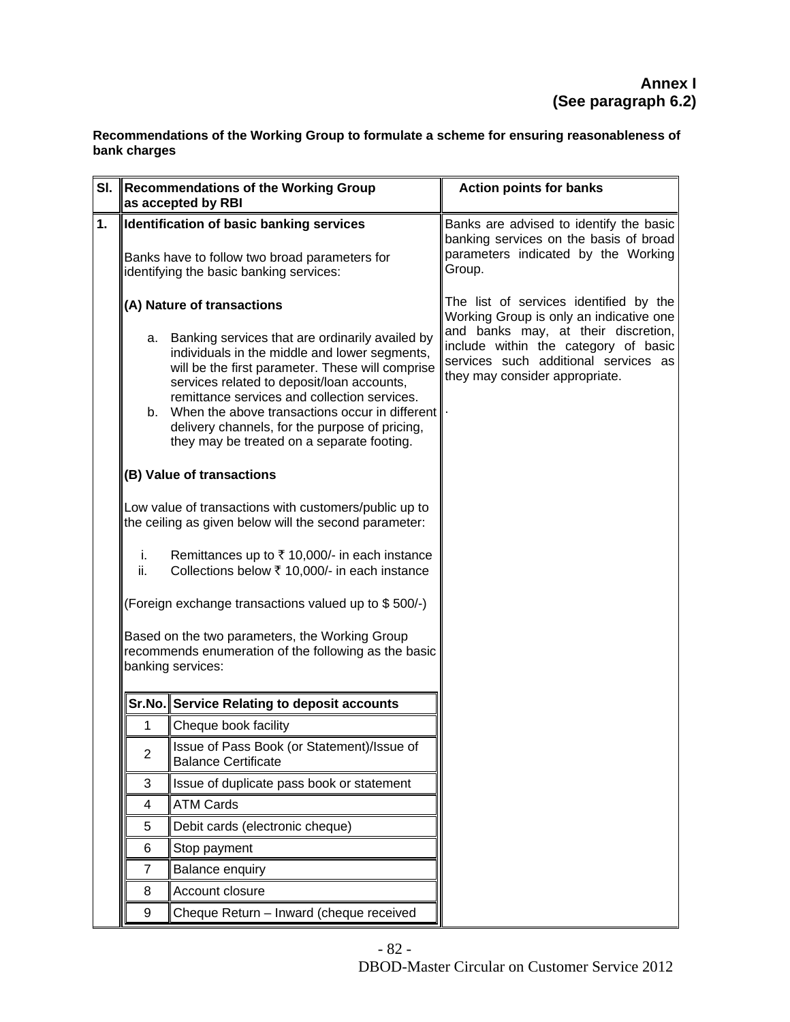**Recommendations of the Working Group to formulate a scheme for ensuring reasonableness of bank charges** 

| SI. |           | Recommendations of the Working Group<br>as accepted by RBI                                                                                                                                                                                                                                                                                                                                              | <b>Action points for banks</b>                                                                                                                        |
|-----|-----------|---------------------------------------------------------------------------------------------------------------------------------------------------------------------------------------------------------------------------------------------------------------------------------------------------------------------------------------------------------------------------------------------------------|-------------------------------------------------------------------------------------------------------------------------------------------------------|
| 1.  |           | Identification of basic banking services                                                                                                                                                                                                                                                                                                                                                                | Banks are advised to identify the basic                                                                                                               |
|     |           | Banks have to follow two broad parameters for<br>identifying the basic banking services:                                                                                                                                                                                                                                                                                                                | banking services on the basis of broad<br>parameters indicated by the Working<br>Group.                                                               |
|     |           | (A) Nature of transactions                                                                                                                                                                                                                                                                                                                                                                              | The list of services identified by the<br>Working Group is only an indicative one                                                                     |
|     | b.        | a. Banking services that are ordinarily availed by<br>individuals in the middle and lower segments,<br>will be the first parameter. These will comprise<br>services related to deposit/loan accounts,<br>remittance services and collection services.<br>When the above transactions occur in different<br>delivery channels, for the purpose of pricing,<br>they may be treated on a separate footing. | and banks may, at their discretion,<br>include within the category of basic<br>services such additional services as<br>they may consider appropriate. |
|     |           | (B) Value of transactions                                                                                                                                                                                                                                                                                                                                                                               |                                                                                                                                                       |
|     |           | Low value of transactions with customers/public up to<br>the ceiling as given below will the second parameter:                                                                                                                                                                                                                                                                                          |                                                                                                                                                       |
|     | i.<br>ii. | Remittances up to ₹ 10,000/- in each instance<br>Collections below ₹ 10,000/- in each instance                                                                                                                                                                                                                                                                                                          |                                                                                                                                                       |
|     |           | (Foreign exchange transactions valued up to \$500/-)                                                                                                                                                                                                                                                                                                                                                    |                                                                                                                                                       |
|     |           | Based on the two parameters, the Working Group<br>recommends enumeration of the following as the basic<br>banking services:                                                                                                                                                                                                                                                                             |                                                                                                                                                       |
|     |           | Sr.No. Service Relating to deposit accounts                                                                                                                                                                                                                                                                                                                                                             |                                                                                                                                                       |
|     | 1         | Cheque book facility                                                                                                                                                                                                                                                                                                                                                                                    |                                                                                                                                                       |
|     | 2         | Issue of Pass Book (or Statement)/Issue of<br><b>Balance Certificate</b>                                                                                                                                                                                                                                                                                                                                |                                                                                                                                                       |
|     | 3         | Issue of duplicate pass book or statement                                                                                                                                                                                                                                                                                                                                                               |                                                                                                                                                       |
|     | 4         | <b>ATM Cards</b>                                                                                                                                                                                                                                                                                                                                                                                        |                                                                                                                                                       |
|     | 5         | Debit cards (electronic cheque)                                                                                                                                                                                                                                                                                                                                                                         |                                                                                                                                                       |
|     | 6         | Stop payment                                                                                                                                                                                                                                                                                                                                                                                            |                                                                                                                                                       |
|     | 7         | <b>Balance enquiry</b>                                                                                                                                                                                                                                                                                                                                                                                  |                                                                                                                                                       |
|     | 8         | Account closure                                                                                                                                                                                                                                                                                                                                                                                         |                                                                                                                                                       |
|     | 9         | Cheque Return - Inward (cheque received                                                                                                                                                                                                                                                                                                                                                                 |                                                                                                                                                       |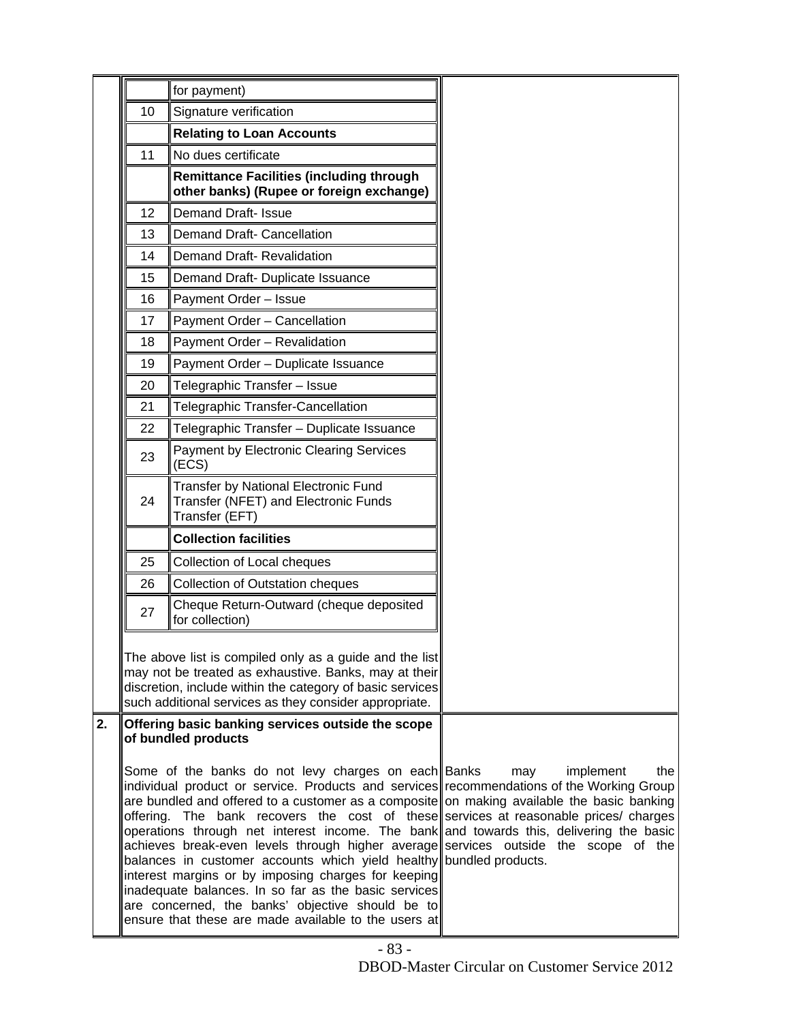|    |    | for payment)                                                                                                                                                                                                                                                                                                                                                                                                                                                                                                                                                                                                                                                                                                                                                                                                               |                         |
|----|----|----------------------------------------------------------------------------------------------------------------------------------------------------------------------------------------------------------------------------------------------------------------------------------------------------------------------------------------------------------------------------------------------------------------------------------------------------------------------------------------------------------------------------------------------------------------------------------------------------------------------------------------------------------------------------------------------------------------------------------------------------------------------------------------------------------------------------|-------------------------|
|    | 10 | Signature verification                                                                                                                                                                                                                                                                                                                                                                                                                                                                                                                                                                                                                                                                                                                                                                                                     |                         |
|    |    | <b>Relating to Loan Accounts</b>                                                                                                                                                                                                                                                                                                                                                                                                                                                                                                                                                                                                                                                                                                                                                                                           |                         |
|    | 11 | No dues certificate                                                                                                                                                                                                                                                                                                                                                                                                                                                                                                                                                                                                                                                                                                                                                                                                        |                         |
|    |    | <b>Remittance Facilities (including through</b><br>other banks) (Rupee or foreign exchange)                                                                                                                                                                                                                                                                                                                                                                                                                                                                                                                                                                                                                                                                                                                                |                         |
|    | 12 | Demand Draft- Issue                                                                                                                                                                                                                                                                                                                                                                                                                                                                                                                                                                                                                                                                                                                                                                                                        |                         |
|    | 13 | <b>Demand Draft- Cancellation</b>                                                                                                                                                                                                                                                                                                                                                                                                                                                                                                                                                                                                                                                                                                                                                                                          |                         |
|    | 14 | Demand Draft-Revalidation                                                                                                                                                                                                                                                                                                                                                                                                                                                                                                                                                                                                                                                                                                                                                                                                  |                         |
|    | 15 | Demand Draft- Duplicate Issuance                                                                                                                                                                                                                                                                                                                                                                                                                                                                                                                                                                                                                                                                                                                                                                                           |                         |
|    | 16 | Payment Order - Issue                                                                                                                                                                                                                                                                                                                                                                                                                                                                                                                                                                                                                                                                                                                                                                                                      |                         |
|    | 17 | Payment Order - Cancellation                                                                                                                                                                                                                                                                                                                                                                                                                                                                                                                                                                                                                                                                                                                                                                                               |                         |
|    | 18 | Payment Order - Revalidation                                                                                                                                                                                                                                                                                                                                                                                                                                                                                                                                                                                                                                                                                                                                                                                               |                         |
|    | 19 | Payment Order - Duplicate Issuance                                                                                                                                                                                                                                                                                                                                                                                                                                                                                                                                                                                                                                                                                                                                                                                         |                         |
|    | 20 | Telegraphic Transfer - Issue                                                                                                                                                                                                                                                                                                                                                                                                                                                                                                                                                                                                                                                                                                                                                                                               |                         |
|    | 21 | Telegraphic Transfer-Cancellation                                                                                                                                                                                                                                                                                                                                                                                                                                                                                                                                                                                                                                                                                                                                                                                          |                         |
|    | 22 | Telegraphic Transfer - Duplicate Issuance                                                                                                                                                                                                                                                                                                                                                                                                                                                                                                                                                                                                                                                                                                                                                                                  |                         |
|    | 23 | <b>Payment by Electronic Clearing Services</b><br>(ECS)                                                                                                                                                                                                                                                                                                                                                                                                                                                                                                                                                                                                                                                                                                                                                                    |                         |
|    | 24 | Transfer by National Electronic Fund<br>Transfer (NFET) and Electronic Funds<br>Transfer (EFT)                                                                                                                                                                                                                                                                                                                                                                                                                                                                                                                                                                                                                                                                                                                             |                         |
|    |    | <b>Collection facilities</b>                                                                                                                                                                                                                                                                                                                                                                                                                                                                                                                                                                                                                                                                                                                                                                                               |                         |
|    | 25 | Collection of Local cheques                                                                                                                                                                                                                                                                                                                                                                                                                                                                                                                                                                                                                                                                                                                                                                                                |                         |
|    | 26 | <b>Collection of Outstation cheques</b>                                                                                                                                                                                                                                                                                                                                                                                                                                                                                                                                                                                                                                                                                                                                                                                    |                         |
|    | 27 | Cheque Return-Outward (cheque deposited<br>for collection)                                                                                                                                                                                                                                                                                                                                                                                                                                                                                                                                                                                                                                                                                                                                                                 |                         |
|    |    | The above list is compiled only as a guide and the list<br>may not be treated as exhaustive. Banks, may at their<br>discretion, include within the category of basic services<br>such additional services as they consider appropriate.                                                                                                                                                                                                                                                                                                                                                                                                                                                                                                                                                                                    |                         |
| 2. |    | Offering basic banking services outside the scope<br>of bundled products                                                                                                                                                                                                                                                                                                                                                                                                                                                                                                                                                                                                                                                                                                                                                   |                         |
|    |    | Some of the banks do not levy charges on each Banks<br>individual product or service. Products and services recommendations of the Working Group<br>are bundled and offered to a customer as a composite on making available the basic banking<br>offering. The bank recovers the cost of these services at reasonable prices/ charges<br>operations through net interest income. The bank and towards this, delivering the basic<br>achieves break-even levels through higher average services outside the scope of the<br>balances in customer accounts which yield healthy bundled products.<br>interest margins or by imposing charges for keeping<br>inadequate balances. In so far as the basic services<br>are concerned, the banks' objective should be to<br>ensure that these are made available to the users at | implement<br>the<br>may |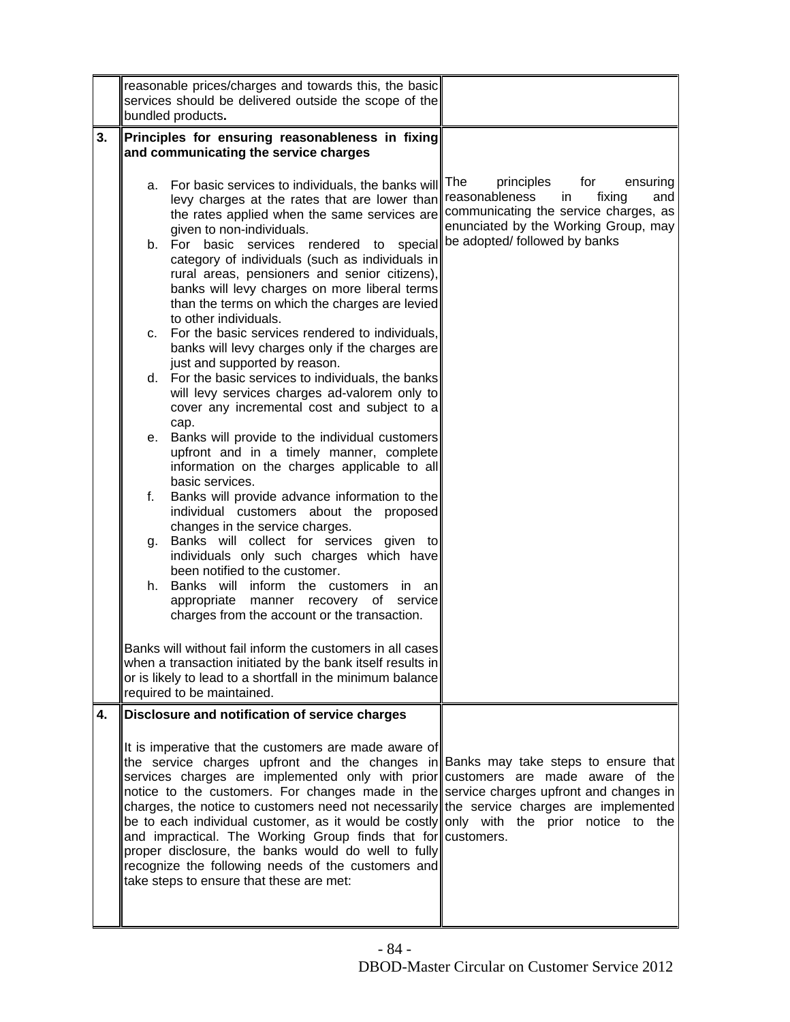|    |    | reasonable prices/charges and towards this, the basic<br>services should be delivered outside the scope of the<br>bundled products.                                                                                                                                                                                                                                                                                                                                                                                                                                                                                                                                                                                                         |                                                                                               |
|----|----|---------------------------------------------------------------------------------------------------------------------------------------------------------------------------------------------------------------------------------------------------------------------------------------------------------------------------------------------------------------------------------------------------------------------------------------------------------------------------------------------------------------------------------------------------------------------------------------------------------------------------------------------------------------------------------------------------------------------------------------------|-----------------------------------------------------------------------------------------------|
| 3. |    | Principles for ensuring reasonableness in fixing<br>and communicating the service charges                                                                                                                                                                                                                                                                                                                                                                                                                                                                                                                                                                                                                                                   |                                                                                               |
|    | а. | For basic services to individuals, the banks will The<br>levy charges at the rates that are lower than reasonableness<br>the rates applied when the same services are communicating the service charges, as<br>given to non-individuals.                                                                                                                                                                                                                                                                                                                                                                                                                                                                                                    | principles<br>for<br>ensuring<br>fixing<br>and<br>in.<br>enunciated by the Working Group, may |
|    |    | b. For basic services rendered to special be adopted/followed by banks<br>category of individuals (such as individuals in<br>rural areas, pensioners and senior citizens),<br>banks will levy charges on more liberal terms<br>than the terms on which the charges are levied<br>to other individuals.                                                                                                                                                                                                                                                                                                                                                                                                                                      |                                                                                               |
|    |    | c. For the basic services rendered to individuals,<br>banks will levy charges only if the charges are<br>just and supported by reason.                                                                                                                                                                                                                                                                                                                                                                                                                                                                                                                                                                                                      |                                                                                               |
|    |    | d. For the basic services to individuals, the banks<br>will levy services charges ad-valorem only to<br>cover any incremental cost and subject to a<br>cap.                                                                                                                                                                                                                                                                                                                                                                                                                                                                                                                                                                                 |                                                                                               |
|    | е. | Banks will provide to the individual customers<br>upfront and in a timely manner, complete<br>information on the charges applicable to all<br>basic services.                                                                                                                                                                                                                                                                                                                                                                                                                                                                                                                                                                               |                                                                                               |
|    | f. | Banks will provide advance information to the<br>individual customers about the proposed<br>changes in the service charges.                                                                                                                                                                                                                                                                                                                                                                                                                                                                                                                                                                                                                 |                                                                                               |
|    | g. | Banks will collect for services given to<br>individuals only such charges which have<br>been notified to the customer.                                                                                                                                                                                                                                                                                                                                                                                                                                                                                                                                                                                                                      |                                                                                               |
|    |    | h. Banks will inform the customers<br>in an<br>appropriate<br>manner recovery of<br>service<br>charges from the account or the transaction.                                                                                                                                                                                                                                                                                                                                                                                                                                                                                                                                                                                                 |                                                                                               |
|    |    | Banks will without fail inform the customers in all cases<br>when a transaction initiated by the bank itself results in<br>or is likely to lead to a shortfall in the minimum balance<br>required to be maintained.                                                                                                                                                                                                                                                                                                                                                                                                                                                                                                                         |                                                                                               |
| 4. |    | Disclosure and notification of service charges                                                                                                                                                                                                                                                                                                                                                                                                                                                                                                                                                                                                                                                                                              |                                                                                               |
|    |    | It is imperative that the customers are made aware of<br>the service charges upfront and the changes in Banks may take steps to ensure that<br>services charges are implemented only with prior customers are made aware of the<br>notice to the customers. For changes made in the service charges upfront and changes in<br>charges, the notice to customers need not necessarily the service charges are implemented<br>be to each individual customer, as it would be costly only with the prior notice to the<br>and impractical. The Working Group finds that for customers.<br>proper disclosure, the banks would do well to fully<br>recognize the following needs of the customers and<br>take steps to ensure that these are met: |                                                                                               |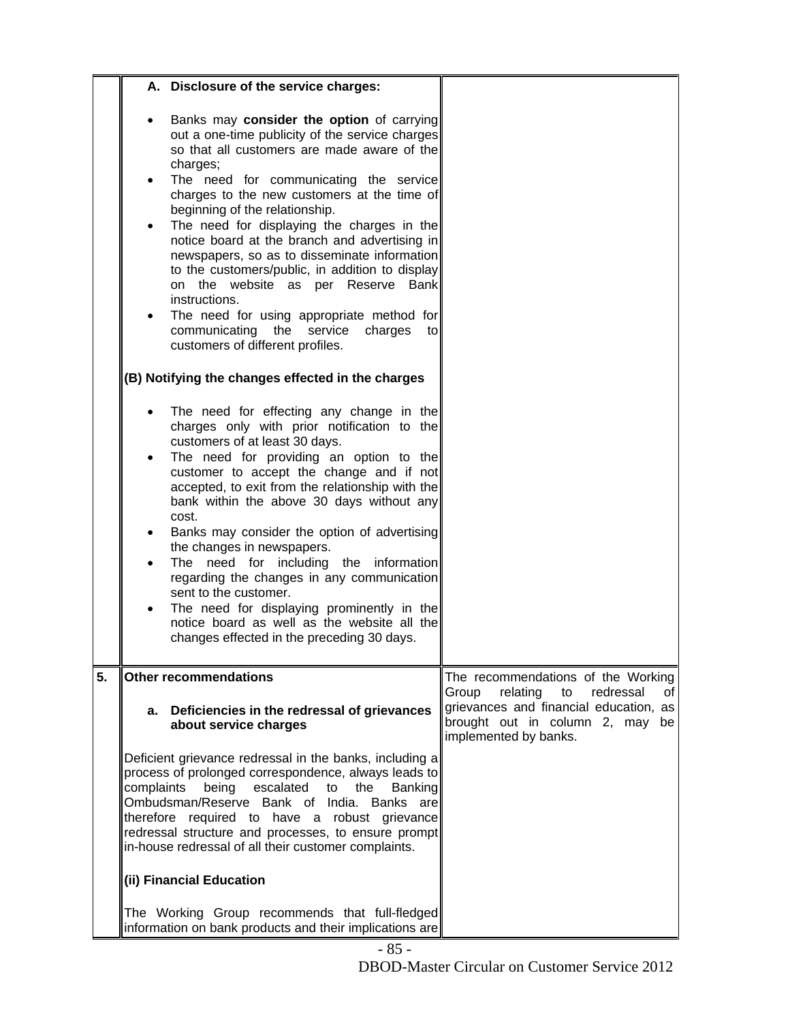|    |            | A. Disclosure of the service charges:                                                                                                                                                                                                                                                                                                                                              |                                                                                                                   |
|----|------------|------------------------------------------------------------------------------------------------------------------------------------------------------------------------------------------------------------------------------------------------------------------------------------------------------------------------------------------------------------------------------------|-------------------------------------------------------------------------------------------------------------------|
|    |            | Banks may consider the option of carrying<br>out a one-time publicity of the service charges<br>so that all customers are made aware of the<br>charges;                                                                                                                                                                                                                            |                                                                                                                   |
|    |            | The need for communicating the service<br>charges to the new customers at the time of<br>beginning of the relationship.                                                                                                                                                                                                                                                            |                                                                                                                   |
|    |            | The need for displaying the charges in the<br>notice board at the branch and advertising in<br>newspapers, so as to disseminate information<br>to the customers/public, in addition to display<br>on the website as per Reserve Bank<br>instructions.                                                                                                                              |                                                                                                                   |
|    |            | The need for using appropriate method for<br>communicating the service<br>charges<br>to<br>customers of different profiles.                                                                                                                                                                                                                                                        |                                                                                                                   |
|    |            | (B) Notifying the changes effected in the charges                                                                                                                                                                                                                                                                                                                                  |                                                                                                                   |
|    |            | The need for effecting any change in the<br>charges only with prior notification to the<br>customers of at least 30 days.                                                                                                                                                                                                                                                          |                                                                                                                   |
|    |            | The need for providing an option to the<br>customer to accept the change and if not<br>accepted, to exit from the relationship with the<br>bank within the above 30 days without any<br>cost.                                                                                                                                                                                      |                                                                                                                   |
|    |            | Banks may consider the option of advertising<br>the changes in newspapers.<br>The need for including the information<br>regarding the changes in any communication<br>sent to the customer.                                                                                                                                                                                        |                                                                                                                   |
|    |            | The need for displaying prominently in the<br>notice board as well as the website all the<br>changes effected in the preceding 30 days.                                                                                                                                                                                                                                            |                                                                                                                   |
| 5. |            | <b>Other recommendations</b>                                                                                                                                                                                                                                                                                                                                                       | The recommendations of the Working<br>relating<br>redressal<br>Group                                              |
|    |            | a. Deficiencies in the redressal of grievances<br>about service charges                                                                                                                                                                                                                                                                                                            | to<br>οf<br>grievances and financial education, as<br>brought out in column 2, may<br>be<br>implemented by banks. |
|    | complaints | Deficient grievance redressal in the banks, including a<br>process of prolonged correspondence, always leads to<br>being<br>escalated<br>to<br>the<br><b>Banking</b><br>Ombudsman/Reserve Bank of India. Banks are<br>therefore required to have a robust grievance<br>redressal structure and processes, to ensure prompt<br>in-house redressal of all their customer complaints. |                                                                                                                   |
|    |            | (ii) Financial Education                                                                                                                                                                                                                                                                                                                                                           |                                                                                                                   |
|    |            | The Working Group recommends that full-fledged<br>information on bank products and their implications are                                                                                                                                                                                                                                                                          |                                                                                                                   |